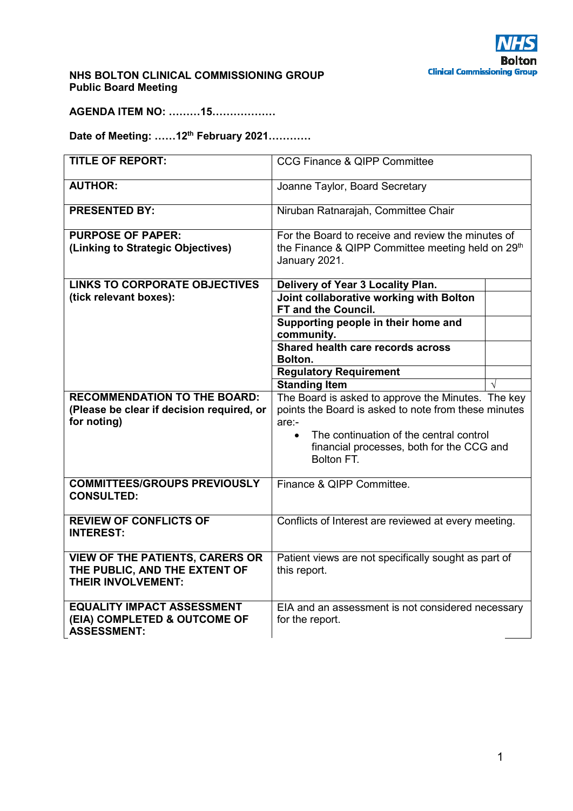

## **NHS BOLTON CLINICAL COMMISSIONING GROUP Public Board Meeting**

**AGENDA ITEM NO: ………15………………** 

**Date of Meeting: ……12th February 2021…………** 

| <b>TITLE OF REPORT:</b>                                                                              | <b>CCG Finance &amp; QIPP Committee</b>                                                                                                                                                                                                   |  |
|------------------------------------------------------------------------------------------------------|-------------------------------------------------------------------------------------------------------------------------------------------------------------------------------------------------------------------------------------------|--|
| <b>AUTHOR:</b>                                                                                       | Joanne Taylor, Board Secretary                                                                                                                                                                                                            |  |
| <b>PRESENTED BY:</b>                                                                                 | Niruban Ratnarajah, Committee Chair                                                                                                                                                                                                       |  |
| <b>PURPOSE OF PAPER:</b>                                                                             | For the Board to receive and review the minutes of                                                                                                                                                                                        |  |
| (Linking to Strategic Objectives)                                                                    | the Finance & QIPP Committee meeting held on 29 <sup>th</sup><br>January 2021.                                                                                                                                                            |  |
| <b>LINKS TO CORPORATE OBJECTIVES</b>                                                                 | Delivery of Year 3 Locality Plan.                                                                                                                                                                                                         |  |
| (tick relevant boxes):                                                                               | Joint collaborative working with Bolton<br><b>FT and the Council.</b>                                                                                                                                                                     |  |
|                                                                                                      | Supporting people in their home and<br>community.                                                                                                                                                                                         |  |
|                                                                                                      | Shared health care records across<br>Bolton.                                                                                                                                                                                              |  |
|                                                                                                      | <b>Regulatory Requirement</b>                                                                                                                                                                                                             |  |
|                                                                                                      | <b>Standing Item</b>                                                                                                                                                                                                                      |  |
| <b>RECOMMENDATION TO THE BOARD:</b><br>(Please be clear if decision required, or<br>for noting)      | The Board is asked to approve the Minutes. The key<br>points the Board is asked to note from these minutes<br>$are:$ -<br>The continuation of the central control<br>$\bullet$<br>financial processes, both for the CCG and<br>Bolton FT. |  |
| <b>COMMITTEES/GROUPS PREVIOUSLY</b><br><b>CONSULTED:</b>                                             | Finance & QIPP Committee.                                                                                                                                                                                                                 |  |
| <b>REVIEW OF CONFLICTS OF</b><br><b>INTEREST:</b>                                                    | Conflicts of Interest are reviewed at every meeting.                                                                                                                                                                                      |  |
| <b>VIEW OF THE PATIENTS, CARERS OR</b><br>THE PUBLIC, AND THE EXTENT OF<br><b>THEIR INVOLVEMENT:</b> | Patient views are not specifically sought as part of<br>this report.                                                                                                                                                                      |  |
| <b>EQUALITY IMPACT ASSESSMENT</b><br>(EIA) COMPLETED & OUTCOME OF<br><b>ASSESSMENT:</b>              | EIA and an assessment is not considered necessary<br>for the report.                                                                                                                                                                      |  |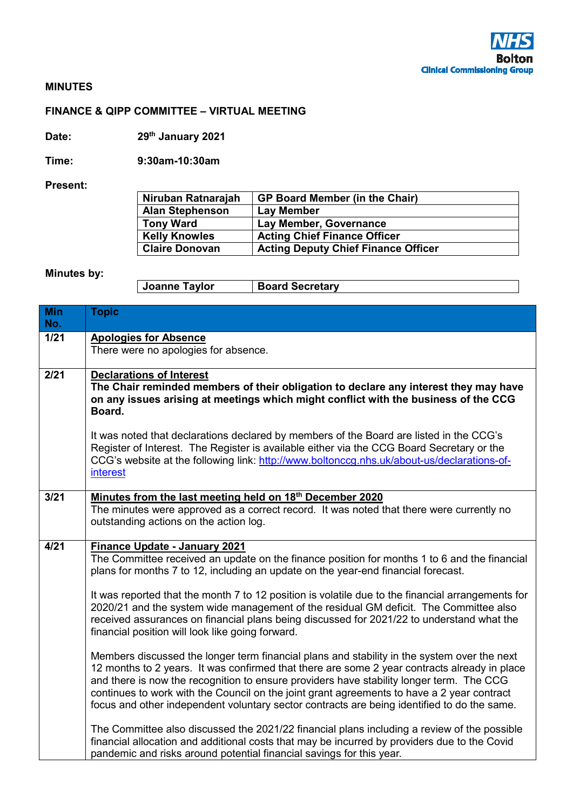

## **MINUTES**

## **FINANCE & QIPP COMMITTEE – VIRTUAL MEETING**

**Date: 29th January 2021** 

**Time: 9:30am-10:30am** 

**Present:** 

| Niruban Ratnarajah     | <b>GP Board Member (in the Chair)</b>      |
|------------------------|--------------------------------------------|
| <b>Alan Stephenson</b> | <b>Lay Member</b>                          |
| <b>Tony Ward</b>       | Lay Member, Governance                     |
| <b>Kelly Knowles</b>   | <b>Acting Chief Finance Officer</b>        |
| <b>Claire Donovan</b>  | <b>Acting Deputy Chief Finance Officer</b> |

## **Minutes by:**

| Joanne Taylor | <b>Board Secretary</b> |
|---------------|------------------------|
|---------------|------------------------|

| <b>Min</b><br>No. | <b>Topic</b>                                                                                                                                                                                                                                                                                                                                                                                                                                                                                                                                                                                                                                                                                                                                                            |
|-------------------|-------------------------------------------------------------------------------------------------------------------------------------------------------------------------------------------------------------------------------------------------------------------------------------------------------------------------------------------------------------------------------------------------------------------------------------------------------------------------------------------------------------------------------------------------------------------------------------------------------------------------------------------------------------------------------------------------------------------------------------------------------------------------|
| $1/21$            | <b>Apologies for Absence</b><br>There were no apologies for absence.                                                                                                                                                                                                                                                                                                                                                                                                                                                                                                                                                                                                                                                                                                    |
| 2/21              | <b>Declarations of Interest</b><br>The Chair reminded members of their obligation to declare any interest they may have<br>on any issues arising at meetings which might conflict with the business of the CCG<br>Board.<br>It was noted that declarations declared by members of the Board are listed in the CCG's<br>Register of Interest. The Register is available either via the CCG Board Secretary or the<br>CCG's website at the following link: http://www.boltonccg.nhs.uk/about-us/declarations-of-<br>interest                                                                                                                                                                                                                                              |
| 3/21              | Minutes from the last meeting held on 18 <sup>th</sup> December 2020<br>The minutes were approved as a correct record. It was noted that there were currently no<br>outstanding actions on the action log.                                                                                                                                                                                                                                                                                                                                                                                                                                                                                                                                                              |
| 4/21              | <b>Finance Update - January 2021</b><br>The Committee received an update on the finance position for months 1 to 6 and the financial<br>plans for months 7 to 12, including an update on the year-end financial forecast.<br>It was reported that the month 7 to 12 position is volatile due to the financial arrangements for<br>2020/21 and the system wide management of the residual GM deficit. The Committee also<br>received assurances on financial plans being discussed for 2021/22 to understand what the<br>financial position will look like going forward.<br>Members discussed the longer term financial plans and stability in the system over the next<br>12 months to 2 years. It was confirmed that there are some 2 year contracts already in place |
|                   | and there is now the recognition to ensure providers have stability longer term. The CCG<br>continues to work with the Council on the joint grant agreements to have a 2 year contract<br>focus and other independent voluntary sector contracts are being identified to do the same.<br>The Committee also discussed the 2021/22 financial plans including a review of the possible<br>financial allocation and additional costs that may be incurred by providers due to the Covid<br>pandemic and risks around potential financial savings for this year.                                                                                                                                                                                                            |